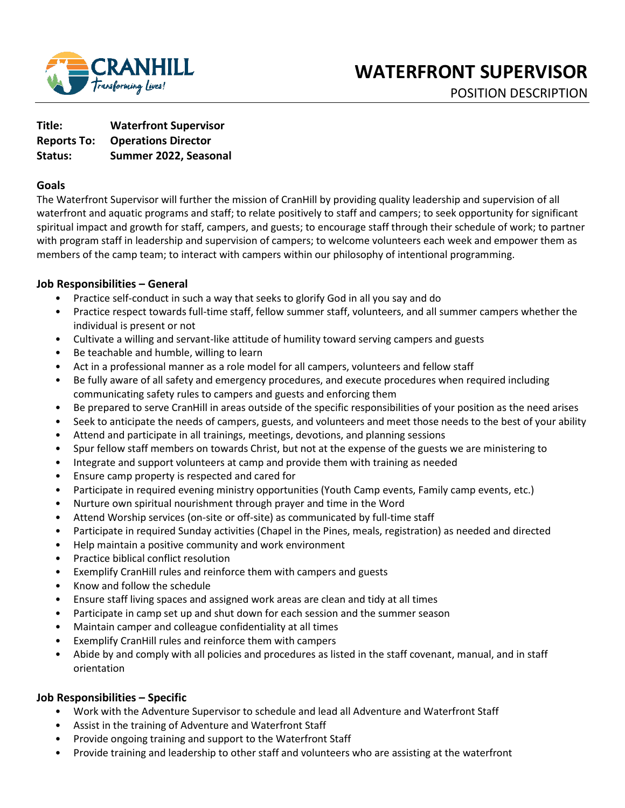

**Title: Waterfront Supervisor Reports To: Operations Director Status: Summer 2022, Seasonal** 

#### **Goals**

The Waterfront Supervisor will further the mission of CranHill by providing quality leadership and supervision of all waterfront and aquatic programs and staff; to relate positively to staff and campers; to seek opportunity for significant spiritual impact and growth for staff, campers, and guests; to encourage staff through their schedule of work; to partner with program staff in leadership and supervision of campers; to welcome volunteers each week and empower them as members of the camp team; to interact with campers within our philosophy of intentional programming.

### **Job Responsibilities – General**

- Practice self-conduct in such a way that seeks to glorify God in all you say and do
- Practice respect towards full-time staff, fellow summer staff, volunteers, and all summer campers whether the individual is present or not
- Cultivate a willing and servant-like attitude of humility toward serving campers and guests
- Be teachable and humble, willing to learn
- Act in a professional manner as a role model for all campers, volunteers and fellow staff
- Be fully aware of all safety and emergency procedures, and execute procedures when required including communicating safety rules to campers and guests and enforcing them
- Be prepared to serve CranHill in areas outside of the specific responsibilities of your position as the need arises
- Seek to anticipate the needs of campers, guests, and volunteers and meet those needs to the best of your ability
- Attend and participate in all trainings, meetings, devotions, and planning sessions
- Spur fellow staff members on towards Christ, but not at the expense of the guests we are ministering to
- Integrate and support volunteers at camp and provide them with training as needed
- Ensure camp property is respected and cared for
- Participate in required evening ministry opportunities (Youth Camp events, Family camp events, etc.)
- Nurture own spiritual nourishment through prayer and time in the Word
- Attend Worship services (on-site or off-site) as communicated by full-time staff
- Participate in required Sunday activities (Chapel in the Pines, meals, registration) as needed and directed
- Help maintain a positive community and work environment
- Practice biblical conflict resolution
- Exemplify CranHill rules and reinforce them with campers and guests
- Know and follow the schedule
- Ensure staff living spaces and assigned work areas are clean and tidy at all times
- Participate in camp set up and shut down for each session and the summer season
- Maintain camper and colleague confidentiality at all times
- Exemplify CranHill rules and reinforce them with campers
- Abide by and comply with all policies and procedures as listed in the staff covenant, manual, and in staff orientation

### **Job Responsibilities – Specific**

- Work with the Adventure Supervisor to schedule and lead all Adventure and Waterfront Staff
- Assist in the training of Adventure and Waterfront Staff
- Provide ongoing training and support to the Waterfront Staff
- Provide training and leadership to other staff and volunteers who are assisting at the waterfront